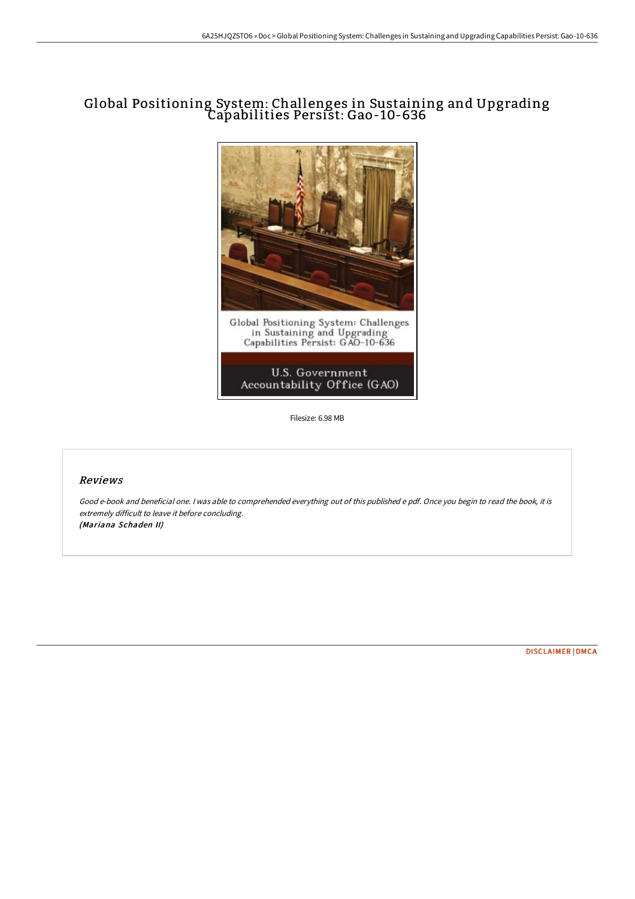## Global Positioning System: Challenges in Sustaining and Upgrading Capabilities Persist: Gao-10-636



Filesize: 6.98 MB

## Reviews

Good e-book and beneficial one. <sup>I</sup> was able to comprehended everything out of this published <sup>e</sup> pdf. Once you begin to read the book, it is extremely difficult to leave it before concluding. (Mariana Schaden II)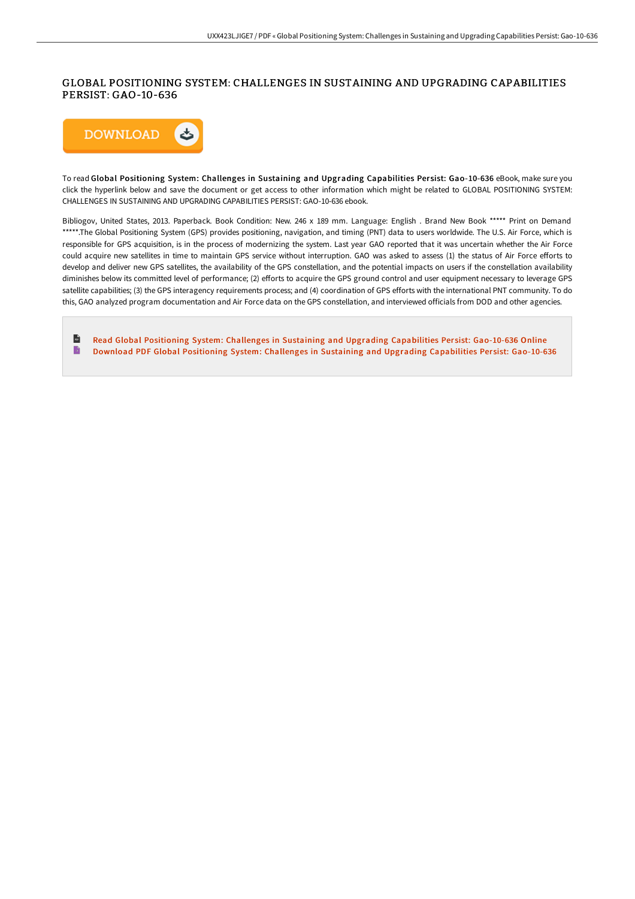## GLOBAL POSITIONING SYSTEM: CHALLENGES IN SUSTAINING AND UPGRADING CAPABILITIES PERSIST: GAO-10-636



To read Global Positioning System: Challenges in Sustaining and Upgrading Capabilities Per sist: Gao-10-636 eBook, make sure you click the hyperlink below and save the document or get access to other information which might be related to GLOBAL POSITIONING SYSTEM: CHALLENGES IN SUSTAINING AND UPGRADING CAPABILITIES PERSIST: GAO-10-636 ebook.

Bibliogov, United States, 2013. Paperback. Book Condition: New. 246 x 189 mm. Language: English . Brand New Book \*\*\*\*\* Print on Demand \*\*\*\*\*.The Global Positioning System (GPS) provides positioning, navigation, and timing (PNT) data to users worldwide. The U.S. Air Force, which is responsible for GPS acquisition, is in the process of modernizing the system. Last year GAO reported that it was uncertain whether the Air Force could acquire new satellites in time to maintain GPS service without interruption. GAO was asked to assess (1) the status of Air Force efforts to develop and deliver new GPS satellites, the availability of the GPS constellation, and the potential impacts on users if the constellation availability diminishes below its committed level of performance; (2) efforts to acquire the GPS ground control and user equipment necessary to leverage GPS satellite capabilities; (3) the GPS interagency requirements process; and (4) coordination of GPS efforts with the international PNT community. To do this, GAO analyzed program documentation and Air Force data on the GPS constellation, and interviewed officials from DOD and other agencies.

 $\mathbf{H}$ Read Global Positioning System: Challenges in Sustaining and Upgrading [Capabilities](http://digilib.live/global-positioning-system-challenges-in-sustaini.html) Persist: Gao-10-636 Online  $\mathbf{B}$ Download PDF Global Positioning System: Challenges in Sustaining and Upgrading [Capabilities](http://digilib.live/global-positioning-system-challenges-in-sustaini.html) Persist: Gao-10-636